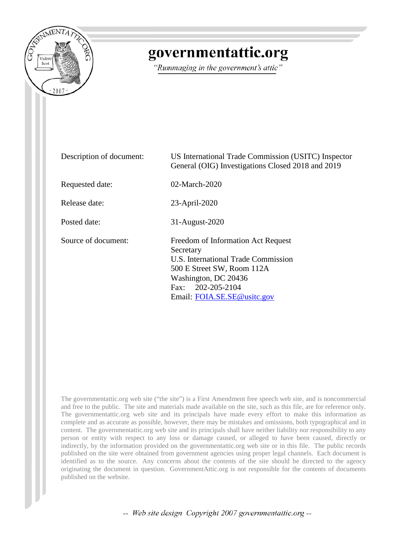

### governmentattic.org

"Rummaging in the government's attic"

| Description of document: | US International Trade Commission (USITC) Inspector<br>General (OIG) Investigations Closed 2018 and 2019                                                                                               |
|--------------------------|--------------------------------------------------------------------------------------------------------------------------------------------------------------------------------------------------------|
| Requested date:          | $02$ -March-2020                                                                                                                                                                                       |
| Release date:            | 23-April-2020                                                                                                                                                                                          |
| Posted date:             | 31-August-2020                                                                                                                                                                                         |
| Source of document:      | Freedom of Information Act Request<br>Secretary<br>U.S. International Trade Commission<br>500 E Street SW, Room 112A<br>Washington, DC 20436<br>Fax: $202 - 205 - 2104$<br>Email: FOIA.SE.SE@usitc.gov |

The governmentattic.org web site ("the site") is a First Amendment free speech web site, and is noncommercial and free to the public. The site and materials made available on the site, such as this file, are for reference only. The governmentattic.org web site and its principals have made every effort to make this information as complete and as accurate as possible, however, there may be mistakes and omissions, both typographical and in content. The governmentattic.org web site and its principals shall have neither liability nor responsibility to any person or entity with respect to any loss or damage caused, or alleged to have been caused, directly or indirectly, by the information provided on the governmentattic.org web site or in this file. The public records published on the site were obtained from government agencies using proper legal channels. Each document is identified as to the source. Any concerns about the contents of the site should be directed to the agency originating the document in question. GovernmentAttic.org is not responsible for the contents of documents published on the website.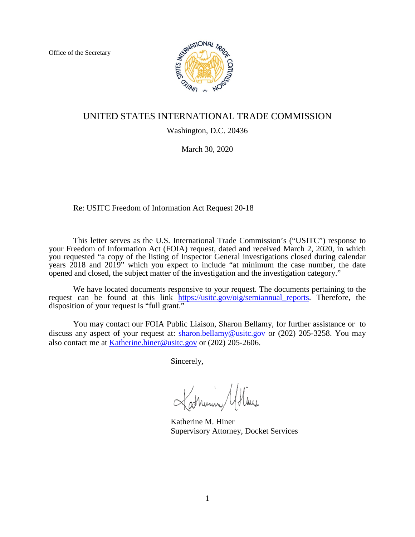Office of the Secretary



#### UNITED STATES INTERNATIONAL TRADE COMMISSION

#### Washington, D.C. 20436

March 30, 2020

Re: USITC Freedom of Information Act Request 20-18

This letter serves as the U.S. International Trade Commission's ("USITC") response to your Freedom of Information Act (FOIA) request, dated and received March 2, 2020, in which you requested "a copy of the listing of Inspector General investigations closed during calendar years 2018 and 2019" which you expect to include "at minimum the case number, the date opened and closed, the subject matter of the investigation and the investigation category."

We have located documents responsive to your request. The documents pertaining to the request can be found at this link [https://usitc.gov/oig/semiannual\\_reports.](https://usitc.gov/oig/semiannual_reports) Therefore, the disposition of your request is "full grant."

You may contact our FOIA Public Liaison, Sharon Bellamy, for further assistance or to discuss any aspect of your request at: [sharon.bellamy@usitc.gov](mailto:sharon.bellamy@usitc.gov) or (202) 205-3258. You may also contact me at [Katherine.hiner@usitc.gov](mailto:Katherine.hiner@usitc.gov) or (202) 205-2606.

Sincerely,

Katherine M. Hiner Supervisory Attorney, Docket Services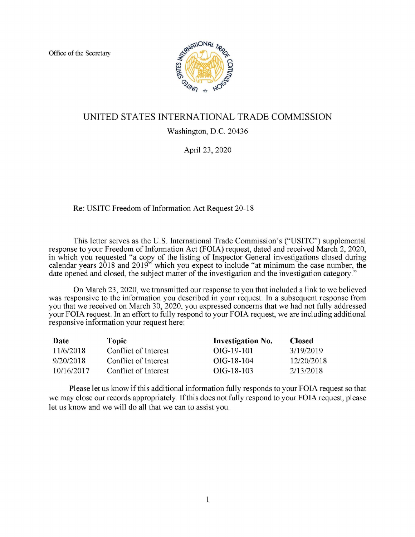Office of the Secretary



### UNITED STATES INTERNATIONAL TRADE COMMISSION

Washington, D.C. 20436

April 23, 2020

Re: USITC Freedom of Information Act Request 20-18

This letter serves as the U.S. International Trade Commission's ("USITC") supplemental response to your Freedom of Information Act (FOIA) request, dated and received March 2, 2020, in which you requested "a copy of the listing of Inspector General investigations closed during calendar years 2018 and 2019" which you expect to include "at minimum the case number, the date opened and closed, the subject matter of the investigation and the investigation category."

On March 23, 2020, we transmitted our response to you that included a link to we believed was responsive to the information you described in your request. In a subsequent response from you that we received on March 30, 2020, you expressed concerns that we had not fully addressed your FOIA request. In an effort to fully respond to your FOIA request, we are including additional responsive information your request here:

| Date       | Topic                | <b>Investigation No.</b> | <b>Closed</b> |
|------------|----------------------|--------------------------|---------------|
| 11/6/2018  | Conflict of Interest | OIG-19-101               | 3/19/2019     |
| 9/20/2018  | Conflict of Interest | $OIG-18-104$             | 12/20/2018    |
| 10/16/2017 | Conflict of Interest | $OIG-18-103$             | 2/13/2018     |

Please let us know if this additional information fully responds to your FOIA request so that we may close our records appropriately. If this does not fully respond to your FOIA request, please let us know and we will do all that we can to assist you.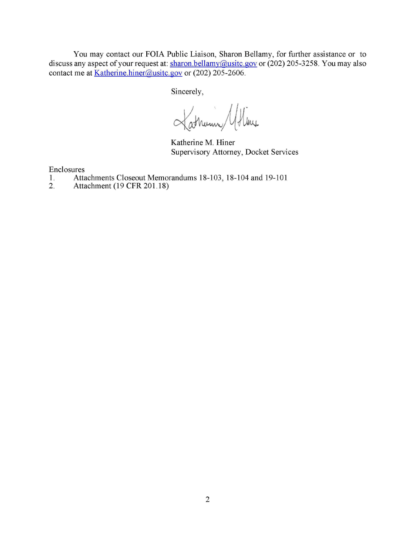You may contact our FOIA Public Liaison, Sharon Bellamy, for further assistance or to discuss any aspect of your request at: sharon.bellamy@usitc.gov or (202) 205-3258. You may also contact me at Katherine.hiner@usitc.gov or (202) 205-2606.

Sincerely,

Latherin Afline

Katherine M. Hiner Supervisory Attorney, Docket Services

Enclosures

- 1. Attachments Closeout Memorandums 18-103, 18-104 and 19-101<br>2. Attachment (19 CFR 201.18)
- Attachment (19 CFR 201.18)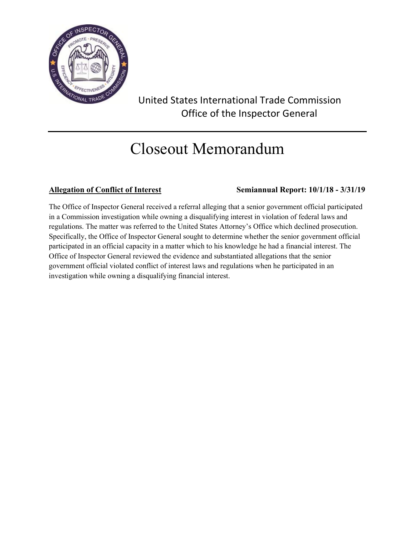

### United States International Trade Commission Office of the Inspector General

### Closeout Memorandum

### **Allegation of Conflict of Interest Semiannual Report: 10/1/18 - 3/31/19**

The Office of Inspector General received a referral alleging that a senior government official participated in a Commission investigation while owning a disqualifying interest in violation of federal laws and regulations. The matter was referred to the United States Attorney's Office which declined prosecution. Specifically, the Office of Inspector General sought to determine whether the senior government official participated in an official capacity in a matter which to his knowledge he had a financial interest. The Office of Inspector General reviewed the evidence and substantiated allegations that the senior government official violated conflict of interest laws and regulations when he participated in an investigation while owning a disqualifying financial interest.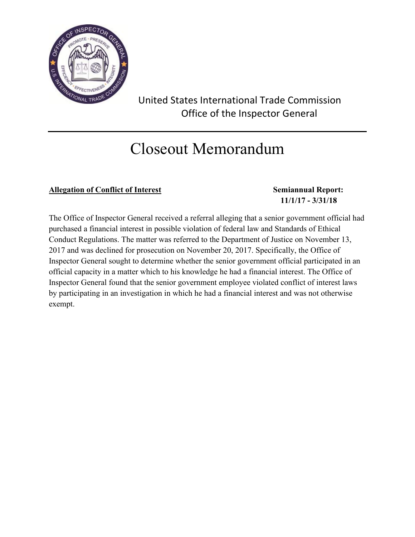

 United States International Trade Commission Office of the Inspector General

### Closeout Memorandum

### Allegation of Conflict of Interest Semiannual Report:

# **1 11/1/17 - 3/31/18**

The Office of Inspector General received a referral alleging that a senior government official had purchased a financial interest in possible violation of federal law and Standards of Ethical Conduct Regulations. The matter was referred to the Department of Justice on November 13, 2017 and was declined for prosecution on November 20, 2017. Specifically, the Office of Inspector General sought to determine whether the senior government official participated in an official capacity in a matter which to his knowledge he had a financial interest. The Office of Inspector General found that the senior government employee violated conflict of interest laws by participating in an investigation in which he had a financial interest and was not otherwise exempt.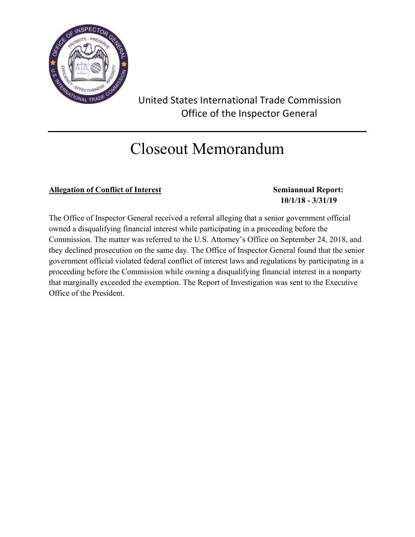

 United States International Trade Commission Office of the Inspector General

### Closeout Memorandum

### Allegation of Conflict of Interest Semiannual Report:

# **1 10/1/18 - 3/31/19**

The Office of Inspector General received a referral alleging that a senior government official owned a disqualifying financial interest while participating in a proceeding before the Commission. The matter was referred to the U.S. Attorney's Office on September 24, 2018, and they declined prosecution on the same day. The Office of Inspector General found that the senior government official violated federal conflict of interest laws and regulations by participating in a proceeding before the Commission while owning a disqualifying financial interest in a nonparty that marginally exceeded the exemption. The Report of Investigation was sent to the Executive Office of the President.